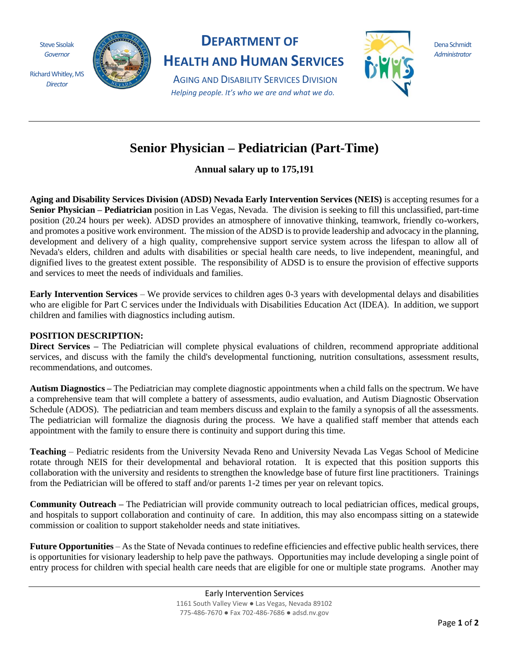Steve Sisolak *Governor*

Richard Whitley, MS *Director*



## **DEPARTMENT OF**

**HEALTH AND HUMAN SERVICES**

AGING AND DISABILITY SERVICES DIVISION *Helping people. It's who we are and what we do.*



Dena Schmidt *Administrator*

## **Senior Physician – Pediatrician (Part-Time)**

**Annual salary up to 175,191**

**Aging and Disability Services Division (ADSD) Nevada Early Intervention Services (NEIS)** is accepting resumes for a **Senior Physician – Pediatrician** position in Las Vegas, Nevada. The division is seeking to fill this unclassified, part-time position (20.24 hours per week). ADSD provides an atmosphere of innovative thinking, teamwork, friendly co-workers, and promotes a positive work environment. The mission of the ADSD is to provide leadership and advocacy in the planning, development and delivery of a high quality, comprehensive support service system across the lifespan to allow all of Nevada's elders, children and adults with disabilities or special health care needs, to live independent, meaningful, and dignified lives to the greatest extent possible. The responsibility of ADSD is to ensure the provision of effective supports and services to meet the needs of individuals and families.

**Early Intervention Services** – We provide services to children ages 0-3 years with developmental delays and disabilities who are eligible for Part C services under the Individuals with Disabilities Education Act (IDEA). In addition, we support children and families with diagnostics including autism.

## **POSITION DESCRIPTION:**

**Direct Services –** The Pediatrician will complete physical evaluations of children, recommend appropriate additional services, and discuss with the family the child's developmental functioning, nutrition consultations, assessment results, recommendations, and outcomes.

**Autism Diagnostics –** The Pediatrician may complete diagnostic appointments when a child falls on the spectrum. We have a comprehensive team that will complete a battery of assessments, audio evaluation, and Autism Diagnostic Observation Schedule (ADOS). The pediatrician and team members discuss and explain to the family a synopsis of all the assessments. The pediatrician will formalize the diagnosis during the process. We have a qualified staff member that attends each appointment with the family to ensure there is continuity and support during this time.

**Teaching** – Pediatric residents from the University Nevada Reno and University Nevada Las Vegas School of Medicine rotate through NEIS for their developmental and behavioral rotation. It is expected that this position supports this collaboration with the university and residents to strengthen the knowledge base of future first line practitioners. Trainings from the Pediatrician will be offered to staff and/or parents 1-2 times per year on relevant topics.

**Community Outreach –** The Pediatrician will provide community outreach to local pediatrician offices, medical groups, and hospitals to support collaboration and continuity of care. In addition, this may also encompass sitting on a statewide commission or coalition to support stakeholder needs and state initiatives.

**Future Opportunities** – As the State of Nevada continues to redefine efficiencies and effective public health services, there is opportunities for visionary leadership to help pave the pathways. Opportunities may include developing a single point of entry process for children with special health care needs that are eligible for one or multiple state programs. Another may